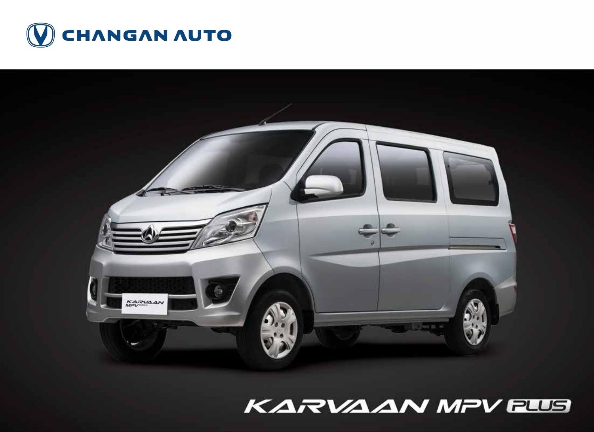



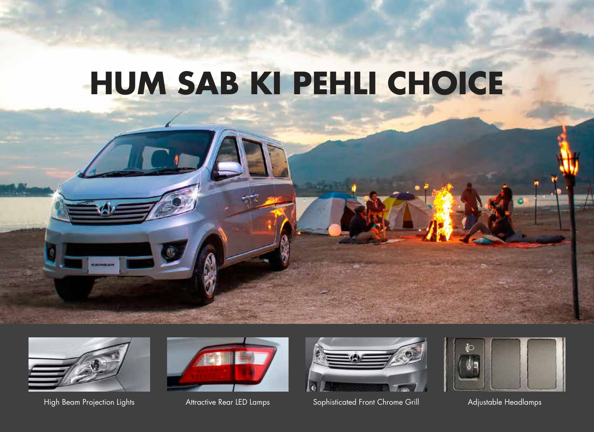# **HUM SAB KI PEHLI CHOICE**







High Beam Projection Lights **Attractive Rear LED Lamps** Sophisticated Front Chrome Grill Adjustable Headlamps

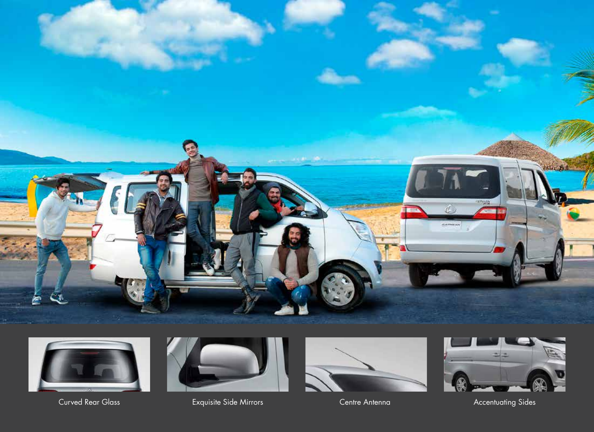





Curved Rear Glass Exquisite Side Mirrors Centre Antenna Accentuating Sides Centre Antenna Accentuating Sides



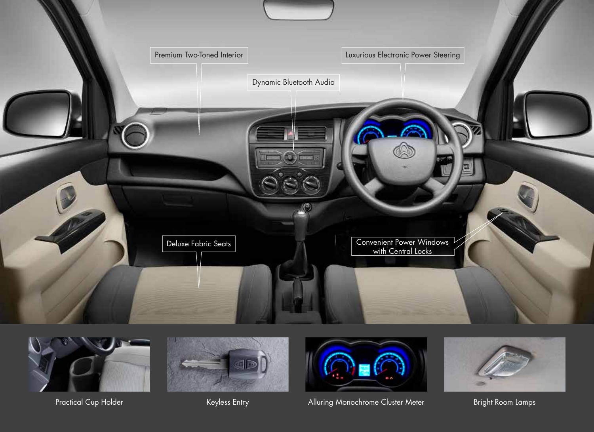





Practical Cup Holder



Keyless Entry **Alluring Monochrome Cluster Meter** Bright Room Lamps

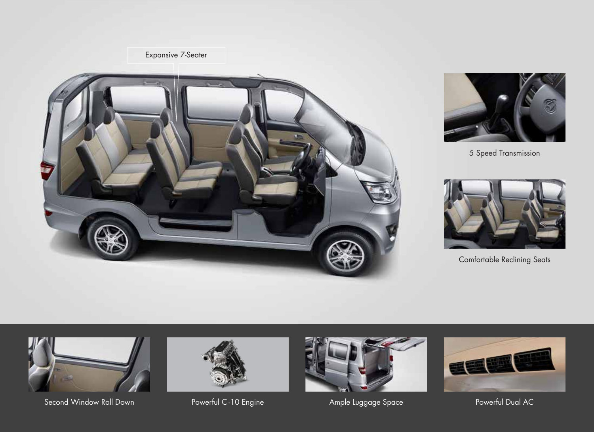### Expansive 7-Seater





5 Speed Transmission



Comfortable Reclining Seats



Second Window Roll Down Powerful C-10 Engine Ample Luggage Space Powerful Dual AC